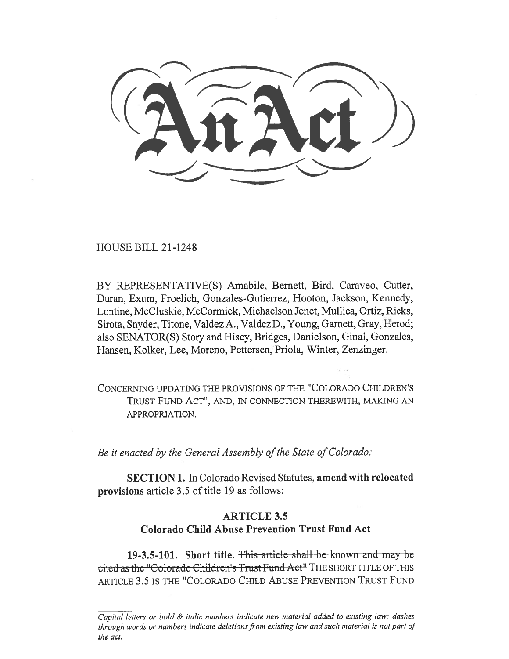HOUSE BILL 21-1248

BY REPRESENTATIVE(S) Amabile, Bernett, Bird, Caraveo, Cutter, Duran, Exum, Froelich, Gonzales-Gutierrez, Hooton, Jackson, Kennedy, Lontine, McCluskie, McCormick, Michaelson Jenet, Mullica, Ortiz, Ricks, Sirota, Snyder, Titone, Valdez A., Valdez D., Young, Garnett, Gray, Herod; also SENATOR(S) Story and Hisey, Bridges, Danielson, Ginal, Gonzales, Hansen, Kolker, Lee, Moreno, Pettersen, Priola, Winter, Zenzinger.

CONCERNING UPDATING THE PROVISIONS OF THE "COLORADO CHILDREN'S TRUST FUND ACT", AND, IN CONNECTION THEREWITH, MAKING AN APPROPRIATION.

Be it enacted by the General Assembly of the State of Colorado:

SECTION 1. In Colorado Revised Statutes, amend with relocated provisions article 3.5 of title 19 as follows:

# ARTICLE 3.5 Colorado Child Abuse Prevention Trust Fund Act

19-3.5-101. Short title. This article shall be known and may be cited as the "Colorado Children's Trust Fund Act" THE SHORT TITLE OF THIS ARTICLE 3.5 IS THE "COLORADO CHILD ABUSE PREVENTION TRUST FUND

Capital letters or bold & italic numbers indicate new material added to existing law; dashes through words or numbers indicate deletions from existing law and such material is not part of the act.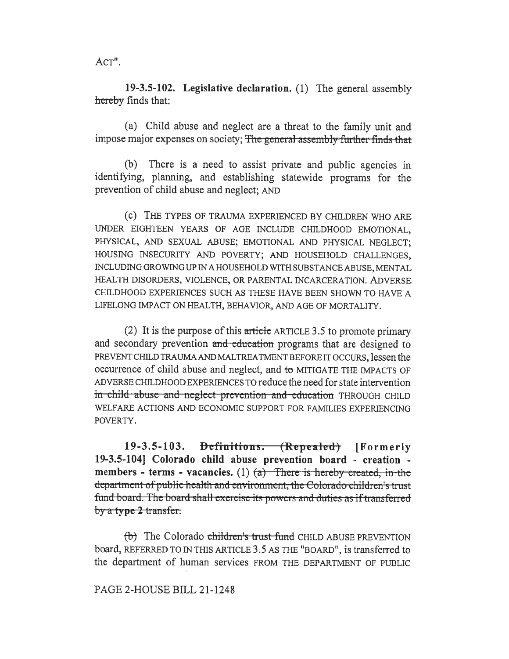ACT".

19-3.5-102. Legislative declaration. (1) The general assembly hereby finds that:

(a) Child abuse and neglect are a threat to the family unit and impose major expenses on society; The general assembly further finds that

(b) There is a need to assist private and public agencies in identifying, planning, and establishing statewide programs for the prevention of child abuse and neglect; AND

(c) THE TYPES OF TRAUMA EXPERIENCED BY CHILDREN WHO ARE UNDER EIGHTEEN YEARS OF AGE INCLUDE CHILDHOOD EMOTIONAL, PHYSICAL, AND SEXUAL ABUSE; EMOTIONAL AND PHYSICAL NEGLECT; HOUSING INSECURITY AND POVERTY; AND HOUSEHOLD CHALLENGES, INCLUDING GROWING UP IN A HOUSEHOLD WITH SUBSTANCE ABUSE, MENTAL HEALTH DISORDERS, VIOLENCE, OR PARENTAL INCARCERATION. ADVERSE CHILDHOOD EXPERIENCES SUCH AS THESE HAVE BEEN SHOWN TO HAVE A LIFELONG IMPACT ON HEALTH, BEHAVIOR, AND AGE OF MORTALITY.

(2) It is the purpose of this article ARTICLE 3.5 to promote primary and secondary prevention and education programs that are designed to PREVENT CHILD TRAUMA AND MALTREATMENT BEFORE IT OCCURS, lessen the occurrence of child abuse and neglect, and to MITIGATE THE IMPACTS OF ADVERSE CHILDHOOD EXPERIENCES TO reduce the need for state intervention in-child-abuse and neglect prevention and education THROUGH CHILD WELFARE ACTIONS AND ECONOMIC SUPPORT FOR FAMILIES EXPERIENCING POVERTY.

19-3.5-103. <del>Definitions. (Repealed)</del> [Formerly 19-3.5-104] Colorado child abuse prevention board - creation members - terms - vacancies. (1)  $(a)$  - There is hereby created, in the department of public-health-and-environment, the Colorado children's trust fund board. The board shall exercise its powers and duties as if transferred by  $\alpha$  type 2 transfer.

 $(b)$  The Colorado children's trust fund CHILD ABUSE PREVENTION board, REFERRED TO IN THIS ARTICLE 3.5 AS THE "BOARD", is transferred to the department of human services FROM THE DEPARTMENT OF PUBLIC

#### PAGE 2-HOUSE BILL 21-1248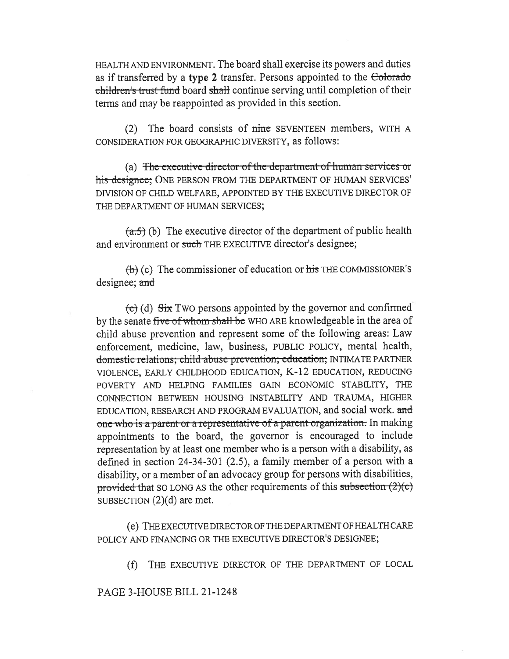HEALTH AND ENVIRONMENT. The board shall exercise its powers and duties as if transferred by a type 2 transfer. Persons appointed to the Colorado children's trust fund board shall continue serving until completion of their terms and may be reappointed as provided in this section.

(2) The board consists of ninc SEVENTEEN members, WITH A CONSIDERATION FOR GEOGRAPHIC DIVERSITY, as follows:

(a) The executive director of the department of human services or his designee: ONE PERSON FROM THE DEPARTMENT OF HUMAN SERVICES' DIVISION OF CHILD WELFARE, APPOINTED BY THE EXECUTIVE DIRECTOR OF THE DEPARTMENT OF HUMAN SERVICES;

 $(a.5)$  (b) The executive director of the department of public health and environment or such THE EXECUTIVE director's designee;

 $(\theta)$  (c) The commissioner of education or his THE COMMISSIONER's designee; and

 $\left(\frac{c}{c}\right)$  (d)  $\frac{c}{c}$  Two persons appointed by the governor and confirmed by the senate five of whom shall be WHO ARE knowledgeable in the area of child abuse prevention and represent some of the following areas: Law enforcement, medicine, law, business, PUBLIC POLICY, mental health, domestic relations; child abuse prevention; education; INTIMATE PARTNER VIOLENCE, EARLY CHILDHOOD EDUCATION, K-12 EDUCATION, REDUCING POVERTY AND HELPING FAMILIES GAIN ECONOMIC STABILITY, THE CONNECTION BETWEEN HOUSING INSTABILITY AND TRAUMA, HIGHER EDUCATION, RESEARCH AND PROGRAM EVALUATION, and social work. and one who is a parent-or a representative-of-a-parent-organization. In making appointments to the board, the governor is encouraged to include representation by at least one member who is a person with a disability, as defined in section 24-34-301 (2.5), a family member of a person with a disability, or a member of an advocacy group for persons with disabilities, provided that SO LONG AS the other requirements of this subsection  $(2)(c)$ SUBSECTION (2)(d) are met.

(e) THE EXECUTIVE DIRECTOR OF THE DEPARTMENT OF HEALTH CARE POLICY AND FINANCING OR THE EXECUTIVE DIRECTOR'S DESIGNEE;

(f) THE EXECUTIVE DIRECTOR OF THE DEPARTMENT OF LOCAL

PAGE 3-HOUSE BILL 21-1248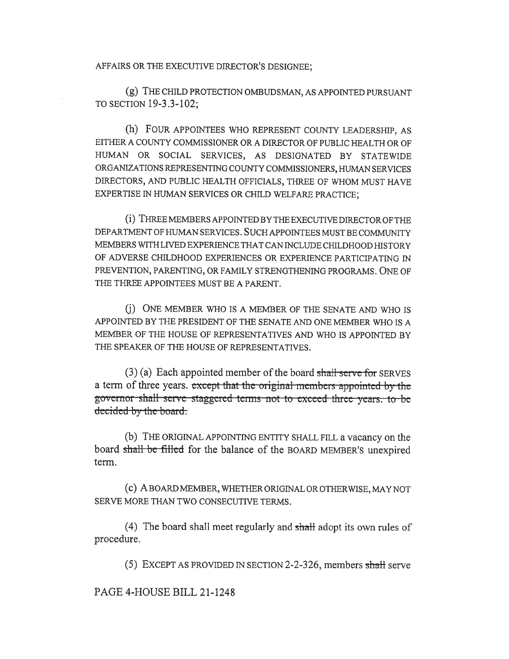AFFAIRS OR THE EXECUTIVE DIRECTOR'S DESIGNEE;

(g) THE CHILD PROTECTION OMBUDSMAN, AS APPOINTED PURSUANT TO SECTION 19-3.3-102;

(h) FOUR APPOINTEES WHO REPRESENT COUNTY LEADERSHIP, AS EITHER A COUNTY COMMISSIONER OR A DIRECTOR OF PUBLIC HEALTH OR OF HUMAN OR SOCIAL SERVICES, AS DESIGNATED BY STATEWIDE ORGANIZATIONS REPRESENTING COUNTY COMMISSIONERS, HUMAN SERVICES DIRECTORS, AND PUBLIC HEALTH OFFICIALS, THREE OF WHOM MUST HAVE EXPERTISE IN HUMAN SERVICES OR CHILD WELFARE PRACTICE;

(i) THREE MEMBERS APPOINTED BY THE EXECUTIVE DIRECTOR OF THE DEPARTMENT OF HUMAN SERVICES. SUCH APPOINTEES MUST BE COMMUNITY MEMBERS WITH LIVED EXPERIENCE THAT CAN INCLUDE CHILDHOOD HISTORY OF ADVERSE CHILDHOOD EXPERIENCES OR EXPERIENCE PARTICIPATING IN PREVENTION, PARENTING, OR FAMILY STRENGTHENING PROGRAMS. ONE OF THE THREE APPOINTEES MUST BE A PARENT.

(j) ONE MEMBER WHO IS A MEMBER OF THE SENATE AND WHO IS APPOINTED BY THE PRESIDENT OF THE SENATE AND ONE MEMBER WHO IS A MEMBER OF THE HOUSE OF REPRESENTATIVES AND WHO IS APPOINTED BY THE SPEAKER OF THE HOUSE OF REPRESENTATIVES.

 $(3)$  (a) Each appointed member of the board shall serve for SERVES a term of three years. except that the original members appointed by the governor-shall serve-staggered-terms not to-exceed three years. to-be decided by the board.

(b) THE ORIGINAL APPOINTING ENTITY SHALL FILL a vacancy on the board shall be filled for the balance of the BOARD MEMBER'S unexpired term.

(c) A BOARD MEMBER, WHETHER ORIGINAL OR OTHERWISE, MAY NOT SERVE MORE THAN TWO CONSECUTIVE TERMS.

(4) The board shall meet regularly and shall adopt its own rules of procedure.

(5) EXCEPT AS PROVIDED IN SECTION 2-2-326, members shall serve

PAGE 4-HOUSE BILL 21-1248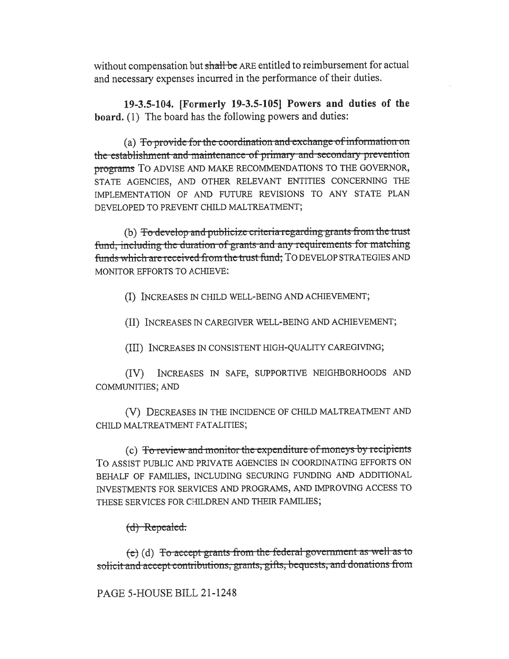without compensation but shall be ARE entitled to reimbursement for actual and necessary expenses incurred in the performance of their duties.

19-3.5-104. [Formerly 19-3.5-105] Powers and duties of the board. (1) The board has the following powers and duties:

(a) To provide for the coordination and exchange of information on the establishment and maintenance of primary and secondary prevention programs TO ADVISE AND MAKE RECOMMENDATIONS TO THE GOVERNOR, STATE AGENCIES, AND OTHER RELEVANT ENTITIES CONCERNING THE IMPLEMENTATION OF AND FUTURE REVISIONS TO ANY STATE PLAN DEVELOPED TO PREVENT CHILD MALTREATMENT;

(b) To develop and publicize criteria regarding grants from the trust fund, including the duration of grants and any requirements for matching funds which are received from the trust fund; TO DEVELOP STRATEGIES AND MONITOR EFFORTS TO ACHIEVE:

(I) INCREASES IN CHILD WELL-BEING AND ACHIEVEMENT;

(II) INCREASES IN CAREGIVER WELL-BEING AND ACHIEVEMENT;

(III) INCREASES IN CONSISTENT HIGH-QUALITY CAREGIVING;

INCREASES IN SAFE, SUPPORTIVE NEIGHBORHOODS AND  $(IV)$ **COMMUNITIES; AND** 

(V) DECREASES IN THE INCIDENCE OF CHILD MALTREATMENT AND CHILD MALTREATMENT FATALITIES;

(c) To review and monitor the expenditure of moneys by recipients TO ASSIST PUBLIC AND PRIVATE AGENCIES IN COORDINATING EFFORTS ON BEHALF OF FAMILIES, INCLUDING SECURING FUNDING AND ADDITIONAL INVESTMENTS FOR SERVICES AND PROGRAMS, AND IMPROVING ACCESS TO THESE SERVICES FOR CHILDREN AND THEIR FAMILIES;

## $(d)$  Repealed.

 $(e)$  (d) To accept grants from the federal government as well as to solicit and accept contributions, grants, gifts, bequests, and donations from

## PAGE 5-HOUSE BILL 21-1248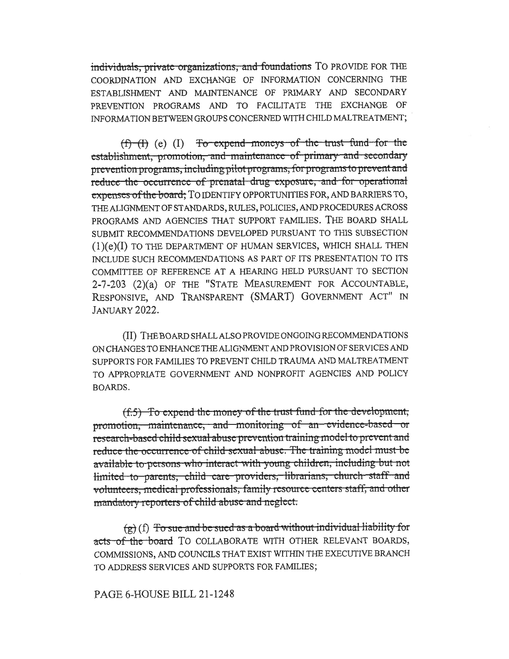individuals, private organizations, and foundations TO PROVIDE FOR THE COORDINATION AND EXCHANGE OF INFORMATION CONCERNING THE ESTABLISHMENT AND MAINTENANCE OF PRIMARY AND SECONDARY PREVENTION PROGRAMS AND TO FACILITATE THE EXCHANGE OF INFORMATION BETWEEN GROUPS CONCERNED WITH CHILD MALTREATMENT;

 $(f)$  (f) (e) (I) To expend moneys of the trust fund for the establishment, promotion, and maintenance of primary and secondary prevention programs, including pilot programs, for programs to prevent and reduce the occurrence of prenatal drug exposure, and for operational expenses of the board; TO IDENTIFY OPPORTUNITIES FOR, AND BARRIERS TO, THE ALIGNMENT OF STANDARDS, RULES, POLICIES, AND PROCEDURES ACROSS PROGRAMS AND AGENCIES THAT SUPPORT FAMILIES. THE BOARD SHALL SUBMIT RECOMMENDATIONS DEVELOPED PURSUANT TO THIS SUBSECTION (1 )(e)(I) TO THE DEPARTMENT OF HUMAN SERVICES, WHICH SHALL THEN INCLUDE SUCH RECOMMENDATIONS AS PART OF ITS PRESENTATION TO ITS COMMITTEE OF REFERENCE AT A HEARING HELD PURSUANT TO SECTION 2-7-203 (2)(a) OF THE "STATE MEASUREMENT FOR ACCOUNTABLE, RESPONSIVE, AND TRANSPARENT (SMART) GOVERNMENT ACT" IN JANUARY 2022.

(II) THE BOARD SHALL ALSO PROVIDE ONGOING RECOMMENDATIONS ON CHANGES TO ENHANCE THE ALIGNMENT AND PROVISION OF SERVICES AND SUPPORTS FOR FAMILIES TO PREVENT CHILD TRAUMA AND MALTREATMENT TO APPROPRIATE GOVERNMENT AND NONPROFIT AGENCIES AND POLICY BOARDS.

(f.5) To expend the money of the trust-fund-for the development;<br>promotion, maintenance, and monitoring of an evidence-based or research-based child sexual abuse prevention training model to prevent and reduce the-occurrence of child-sexual-abuse. The training model must-be available to persons who interact with young children, including but not limited to parents, child care providers, librarians, church staff and volunteers, medical professionals, family resource centers staff, and other mandatory reporters of child abuse and neglect.

 $(g)$  (f) To sue and be sued-as a board-without individual-liability for acts of the board TO COLLABORATE WITH OTHER RELEVANT BOARDS, COMMISSIONS, AND COUNCILS THAT EXIST WITHIN THE EXECUTIVE BRANCH TO ADDRESS SERVICES AND SUPPORTS FOR FAMILIES;

### PAGE 6-HOUSE BILL 21-1248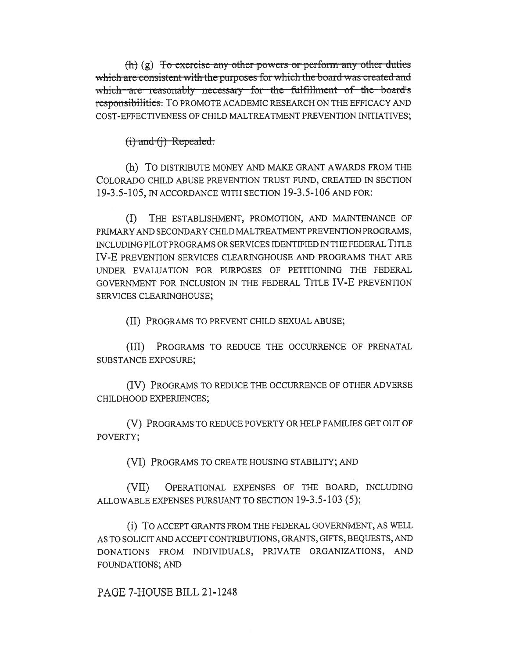$(h)$  (g) To exercise any other powers or perform any other duties which are consistent with the purposes for which the board was created and which are reasonably necessary for the fulfillment of the board's responsibilities. To PROMOTE ACADEMIC RESEARCH ON THE EFFICACY AND COST-EFFECTIVENESS OF CHILD MALTREATMENT PREVENTION INITIATIVES;

 $(i)$  and  $(i)$  Repealed.

(h) TO DISTRIBUTE MONEY AND MAKE GRANT AWARDS FROM THE COLORADO CHILD ABUSE PREVENTION TRUST FUND, CREATED IN SECTION 19-3.5-105, IN ACCORDANCE WITH SECTION 19-3.5-106 AND FOR:

 $(I)$ THE ESTABLISHMENT, PROMOTION, AND MAINTENANCE OF PRIMARY AND SECONDARY CHILD MALTREATMENT PREVENTION PROGRAMS, INCLUDING PILOT PROGRAMS OR SERVICES IDENTIFIED IN THE FEDERAL TITLE IV-E PREVENTION SERVICES CLEARINGHOUSE AND PROGRAMS THAT ARE UNDER EVALUATION FOR PURPOSES OF PETITIONING THE FEDERAL GOVERNMENT FOR INCLUSION IN THE FEDERAL TITLE IV-E PREVENTION SERVICES CLEARINGHOUSE;

(II) PROGRAMS TO PREVENT CHILD SEXUAL ABUSE;

(III) PROGRAMS TO REDUCE THE OCCURRENCE OF PRENATAL SUBSTANCE EXPOSURE;

(IV) PROGRAMS TO REDUCE THE OCCURRENCE OF OTHER ADVERSE CHILDHOOD EXPERIENCES;

(V) PROGRAMS TO REDUCE POVERTY OR HELP FAMILIES GET OUT OF POVERTY;

(VI) PROGRAMS TO CREATE HOUSING STABILITY; AND

OPERATIONAL EXPENSES OF THE BOARD, INCLUDING  $(VII)$ ALLOWABLE EXPENSES PURSUANT TO SECTION 19-3.5-103 (5);

(i) TO ACCEPT GRANTS FROM THE FEDERAL GOVERNMENT, AS WELL AS TO SOLICIT AND ACCEPT CONTRIBUTIONS, GRANTS, GIFTS, BEQUESTS, AND DONATIONS FROM INDIVIDUALS, PRIVATE ORGANIZATIONS, AND FOUNDATIONS; AND

PAGE 7-HOUSE BILL 21-1248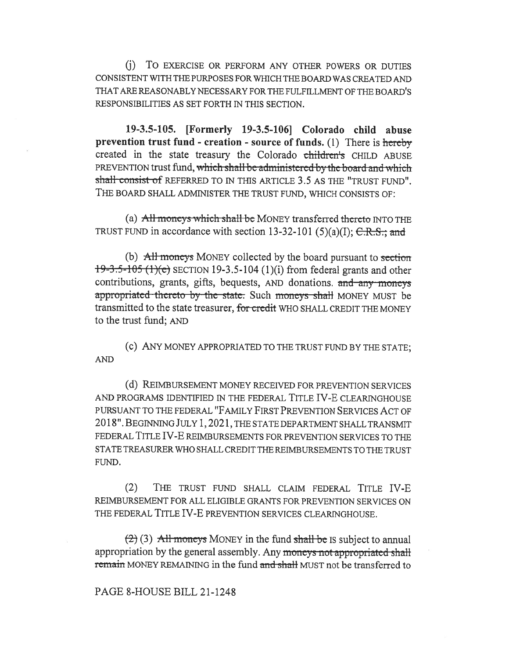(j) To EXERCISE OR PERFORM ANY OTHER POWERS OR DUTIES CONSISTENT WITH THE PURPOSES FOR WHICH THE BOARD WAS CREATED AND THAT ARE REASONABLY NECESSARY FOR THE FULFILLMENT OF THE BOARD'S RESPONSIBILITIES AS SET FORTH IN THIS SECTION.

19-3.5-105. [Formerly 19-3.5-106] Colorado child abuse prevention trust fund - creation - source of funds. (1) There is hereby created in the state treasury the Colorado children's CHILD ABUSE PREVENTION trust fund, which shall-be-administered-by-the-board-and-whichshall consist of REFERRED TO IN THIS ARTICLE 3.5 AS THE "TRUST FUND". THE BOARD SHALL ADMINISTER THE TRUST FUND, WHICH CONSISTS OF:

(a)  $\overline{All}$  moneys which shall be MONEY transferred thereto INTO THE TRUST FUND in accordance with section 13-32-101 (5)(a)(I);  $C.R.S.;$  and

(b)  $\overrightarrow{All}$  moneys MONEY collected by the board pursuant to section  $19-3.5-105$  (1)(e) SECTION 19-3.5-104 (1)(i) from federal grants and other contributions, grants, gifts, bequests, AND donations. and any moncys appropriated thereto by the state. Such moneys shall MONEY MUST be transmitted to the state treasurer, for credit WHO SHALL CREDIT THE MONEY to the trust fund; AND

(c) ANY MONEY APPROPRIATED TO THE TRUST FUND BY THE STATE; AND

(d) REIMBURSEMENT MONEY RECEIVED FOR PREVENTION SERVICES AND PROGRAMS IDENTIFIED IN THE FEDERAL TITLE IV-E CLEARINGHOUSE PURSUANT TO THE FEDERAL "FAMILY FIRST PREVENTION SERVICES ACT OF 2018". BEGINNING JULY 1, 2021, THE STATE DEPARTMENT SHALL TRANSMIT FEDERAL TITLE IV-E REIMBURSEMENTS FOR PREVENTION SERVICES TO THE STATE TREASURER WHO SHALL CREDIT THE REIMBURSEMENTS TO THE TRUST FUND.

(2) THE TRUST FUND SHALL CLAIM FEDERAL TITLE IV-E REIMBURSEMENT FOR ALL ELIGIBLE GRANTS FOR PREVENTION SERVICES ON THE FEDERAL TITLE IV-E PREVENTION SERVICES CLEARINGHOUSE.

 $(2)$  (3) All moneys MONEY in the fund shall be IS subject to annual appropriation by the general assembly. Any moneys not appropriated shall remain MONEY REMAINING in the fund and shall MUST not be transferred to

#### PAGE 8-HOUSE BILL 21-1248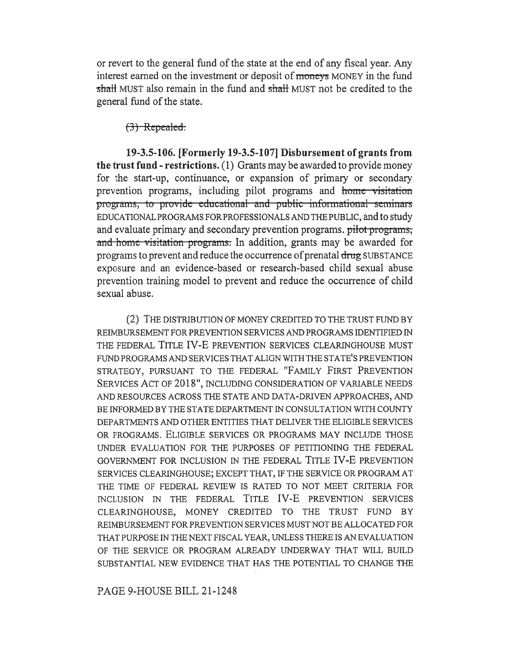or revert to the general fund of the state at the end of any fiscal year. Any interest earned on the investment or deposit of moneys MONEY in the fund shall MUST also remain in the fund and shall MUST not be credited to the general fund of the state.

 $(3)$  Repealed.

19-3.5-106. [Formerly 19-3.5-107] Disbursement of grants from the trust fund - restrictions. (1) Grants may be awarded to provide money for the start-up, continuance, or expansion of primary or secondary prevention programs, including pilot programs and home visitation programs, to provide educational and public informational seminars EDUCATIONAL PROGRAMS FOR PROFES SIONALS AND THE PUBLIC, and to study and evaluate primary and secondary prevention programs. pilot programs, and home visitation programs. In addition, grants may be awarded for programs to prevent and reduce the occurrence of prenatal drug SUBSTANCE exposure and an evidence-based or research-based child sexual abuse prevention training model to prevent and reduce the occurrence of child sexual abuse.

(2) THE DISTRIBUTION OF MONEY CREDITED TO THE TRUST FUND BY REIMBURSEMENT FOR PREVENTION SERVICES AND PROGRAMS IDENTIFIED IN THE FEDERAL TITLE IV-E PREVENTION SERVICES CLEARINGHOUSE MUST FUND PROGRAMS AND SERVICES THAT ALIGN WITH THE STATE'S PREVENTION STRATEGY, PURSUANT TO THE FEDERAL "FAMILY FIRST PREVENTION SERVICES ACT OF 2018", INCLUDING CONSIDERATION OF VARIABLE NEEDS AND RESOURCES ACROSS THE STATE AND DATA-DRIVEN APPROACHES, AND BE INFORMED BY THE STATE DEPARTMENT IN CONSULTATION WITH COUNTY DEPARTMENTS AND OTHER ENTITIES THAT DELIVER THE ELIGIBLE SERVICES OR PROGRAMS. ELIGIBLE SERVICES OR PROGRAMS MAY INCLUDE THOSE UNDER EVALUATION FOR THE PURPOSES OF PETITIONING THE FEDERAL GOVERNMENT FOR INCLUSION IN THE FEDERAL TITLE IV-E PREVENTION SERVICES CLEARINGHOUSE; EXCEPT THAT, IF THE SERVICE OR PROGRAM AT THE TIME OF FEDERAL REVIEW IS RATED TO NOT MEET CRITERIA FOR INCLUSION IN THE FEDERAL TITLE IV-E PREVENTION SERVICES CLEARINGHOUSE, MONEY CREDITED TO THE TRUST FUND BY REIMBURSEMENT FOR PREVENTION SERVICES MUST NOT BE ALLOCATED FOR THAT PURPOSE IN THE NEXT FISCAL YEAR, UNLESS THERE IS AN EVALUATION OF THE SERVICE OR PROGRAM ALREADY UNDERWAY THAT WILL BUILD SUBSTANTIAL NEW EVIDENCE THAT HAS THE POTENTIAL TO CHANGE THE

PAGE 9-HOUSE BILL 21-1248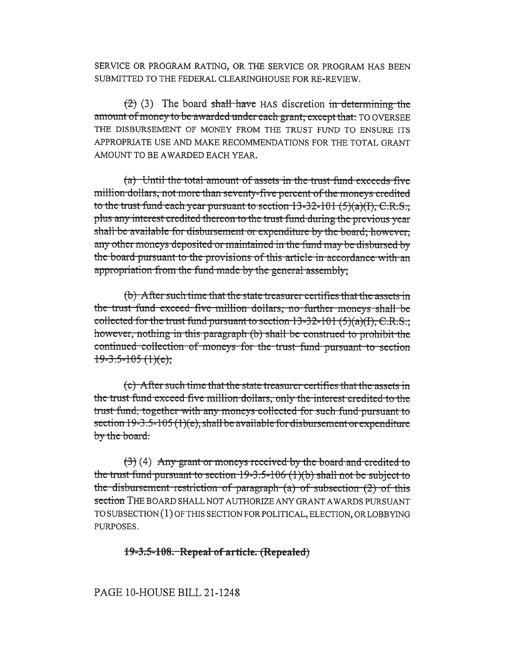SERVICE OR PROGRAM RATING, OR THE SERVICE OR PROGRAM HAS BEEN SUBMITTED TO THE FEDERAL CLEARINGHOUSE FOR RE-REVIEW.

 $(2)$  (3) The board shall have HAS discretion in determining the amount of money to be awarded under each grant; except that: TO OVERSEE THE DISBURSEMENT OF MONEY FROM THE TRUST FUND TO ENSURE ITS APPROPRIATE USE AND MAKE RECOMMENDATIONS FOR THE TOTAL GRANT AMOUNT TO BE AWARDED EACH YEAR.

(a) Until the total amount of assets in the trust fund exceeds five million dollars, not more than seventy-five percent of the moneys credited to the trust fund each year pursuant to section  $13-32-101(5)(a)(1)$ , C.R.S., plus any interest credited thereon to the trust fund during the previous year shall be available for disbursement or expenditure by the board; however, any other moneys deposited or maintained in the fund may be disbursed by the board pursuant to the provisions of this article in accordance with an appropriation from the fund made by the general assembly;

(b) After such time that the state treasurer certifies that the assets in the trust fund exceed five million dollars, no further moneys shall be collected for the trust fund pursuant to section  $13-32-101$  (5)(a)(I), C.R.S.; however, nothing in this paragraph (b) shall be construed to prohibit the continued collection of moneys for the trust fund pursuant to section  $19-3.5-105(1)(e);$ 

(c) After such time that the state treasurer certifies that the assets in the trust fund exceed five million dollars, only the interest credited to the trust fund, together with any moneys collected for such fund pursuant to section  $19-3.5-105(1)(e)$ , shall be available for disbursement or expenditure by the board.

 $(3)$  (4) Any grant or moneys received by the board and credited to the trust fund pursuant to section  $19-3.5-106$  (1)(b) shall not be subject to the disbursement restriction of paragraph  $(a)$  of subsection  $(2)$  of this section THE BOARD SHALL NOT AUTHORIZE ANY GRANT AWARDS PURSUANT TO SUBSECTION (1) OF THIS SECTION FOR POLITICAL, ELECTION, OR LOBBYING PURPOSES.

### 19-3.5-108. Repeal of article. (Repealed)

### PAGE 10-HOUSE BILL 21-1248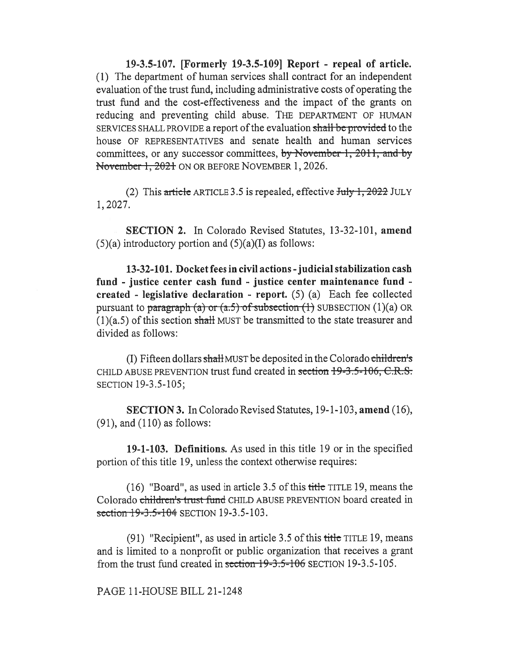19-3.5-107. [Formerly 19-3.5-109] Report - repeal of article. (1) The department of human services shall contract for an independent evaluation of the trust fund, including administrative costs of operating the trust fund and the cost-effectiveness and the impact of the grants on reducing and preventing child abuse. THE DEPARTMENT OF HUMAN SERVICES SHALL PROVIDE a report of the evaluation shall be provided to the house OF REPRESENTATIVES and senate health and human services committees, or any successor committees, by November 1, 2011, and by November 1, 2021 ON OR BEFORE NOVEMBER 1, 2026.

(2) This article ARTICLE 3.5 is repealed, effective  $July 1, 2022$  JULY 1, 2027.

SECTION 2. In Colorado Revised Statutes, 13-32-101, amend  $(5)(a)$  introductory portion and  $(5)(a)(I)$  as follows:

13-32-101. Docket fees in civil actions - judicial stabilization cash fund - justice center cash fund - justice center maintenance fund created - legislative declaration - report.  $(5)$   $(a)$  Each fee collected pursuant to paragraph (a) or (a.5) of subsection (1) SUBSECTION (1)(a) OR  $(1)(a.5)$  of this section shall MUST be transmitted to the state treasurer and divided as follows:

(I) Fifteen dollars shall MUST be deposited in the Colorado children's CHILD ABUSE PREVENTION trust fund created in section 19-3.5-106, C.R.S. SECTION 19-3.5-105;

SECTION 3. In Colorado Revised Statutes, 19-1-103, amend (16), (91), and (110) as follows:

19-1-103. Definitions. As used in this title 19 or in the specified portion of this title 19, unless the context otherwise requires:

(16) "Board", as used in article 3.5 of this title TITLE 19, means the Colorado children's trust fund CHILD ABUSE PREVENTION board created in section 19-3.5-104 SECTION 19-3.5-103.

(91) "Recipient", as used in article 3.5 of this  $\frac{t}{t}$  that  $\frac{t}{t}$  areas and is limited to a nonprofit or public organization that receives a grant from the trust fund created in section  $19-3.5-106$  SECTION 19-3.5-105.

PAGE 11-HOUSE BILL 21-1248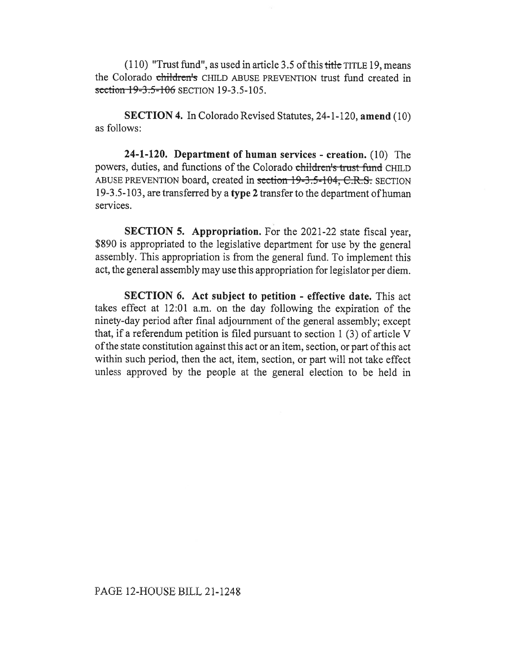$(110)$  "Trust fund", as used in article 3.5 of this title TITLE 19, means the Colorado children's CHILD ABUSE PREVENTION trust fund created in section 19-3.5-106 SECTION 19-3.5-105.

SECTION 4. In Colorado Revised Statutes, 24-1-120, amend (10) as follows:

24-1-120. Department of human services - creation. (10) The powers, duties, and functions of the Colorado children's trust-fund CHILD ABUSE PREVENTION board, created in section-19-3.5-104, C.R.S. SECTION 19-3.5-103, are transferred by a type 2 transfer to the department of human services.

SECTION 5. Appropriation. For the 2021-22 state fiscal year, \$890 is appropriated to the legislative department for use by the general assembly. This appropriation is from the general fund. To implement this act, the general assembly may use this appropriation for legislator per diem.

SECTION 6. Act subject to petition - effective date. This act takes effect at 12:01 a.m. on the day following the expiration of the ninety-day period after final adjournment of the general assembly; except that, if a referendum petition is filed pursuant to section 1 (3) of article V of the state constitution against this act or an item, section, or part of this act within such period, then the act, item, section, or part will not take effect unless approved by the people at the general election to be held in